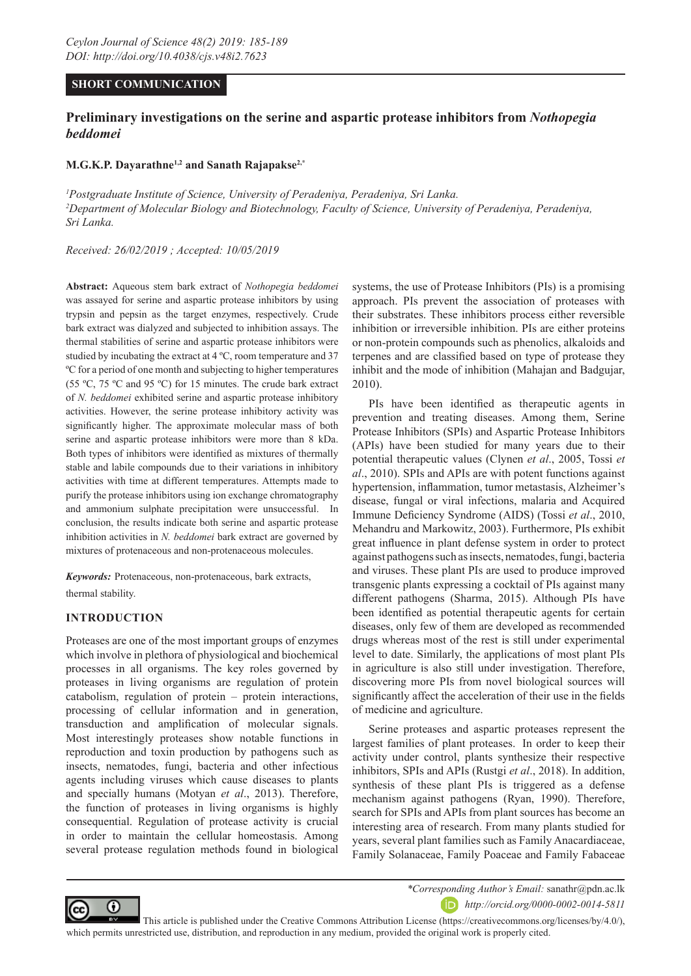# **SHORT COMMUNICATION**

# **Preliminary investigations on the serine and aspartic protease inhibitors from** *Nothopegia beddomei*

## **M.G.K.P. Dayarathne1,2 and Sanath Rajapakse2,\***

<sup>1</sup> Postgraduate Institute of Science, University of Peradeniya, Peradeniya, Sri Lanka. *2 Department of Molecular Biology and Biotechnology, Faculty of Science, University of Peradeniya, Peradeniya, Sri Lanka.* 

*Received: 26/02/2019 ; Accepted: 10/05/2019*

**Abstract:** Aqueous stem bark extract of *Nothopegia beddomei* was assayed for serine and aspartic protease inhibitors by using trypsin and pepsin as the target enzymes, respectively. Crude bark extract was dialyzed and subjected to inhibition assays. The thermal stabilities of serine and aspartic protease inhibitors were studied by incubating the extract at 4 ºC, room temperature and 37 ºC for a period of one month and subjecting to higher temperatures (55 ºC, 75 ºC and 95 ºC) for 15 minutes. The crude bark extract of *N. beddomei* exhibited serine and aspartic protease inhibitory activities. However, the serine protease inhibitory activity was significantly higher. The approximate molecular mass of both serine and aspartic protease inhibitors were more than 8 kDa. Both types of inhibitors were identified as mixtures of thermally stable and labile compounds due to their variations in inhibitory activities with time at different temperatures. Attempts made to purify the protease inhibitors using ion exchange chromatography and ammonium sulphate precipitation were unsuccessful. In conclusion, the results indicate both serine and aspartic protease inhibition activities in *N. beddomei* bark extract are governed by mixtures of protenaceous and non-protenaceous molecules.

*Keywords:* Protenaceous, non-protenaceous, bark extracts, thermal stability.

# **INTRODUCTION**

Proteases are one of the most important groups of enzymes which involve in plethora of physiological and biochemical processes in all organisms. The key roles governed by proteases in living organisms are regulation of protein catabolism, regulation of protein – protein interactions, processing of cellular information and in generation, transduction and amplification of molecular signals. Most interestingly proteases show notable functions in reproduction and toxin production by pathogens such as insects, nematodes, fungi, bacteria and other infectious agents including viruses which cause diseases to plants and specially humans (Motyan *et al*., 2013). Therefore, the function of proteases in living organisms is highly consequential. Regulation of protease activity is crucial in order to maintain the cellular homeostasis. Among several protease regulation methods found in biological systems, the use of Protease Inhibitors (PIs) is a promising approach. PIs prevent the association of proteases with their substrates. These inhibitors process either reversible inhibition or irreversible inhibition. PIs are either proteins or non-protein compounds such as phenolics, alkaloids and terpenes and are classified based on type of protease they inhibit and the mode of inhibition (Mahajan and Badgujar, 2010).

PIs have been identified as therapeutic agents in prevention and treating diseases. Among them, Serine Protease Inhibitors (SPIs) and Aspartic Protease Inhibitors (APIs) have been studied for many years due to their potential therapeutic values (Clynen *et al*., 2005, Tossi *et al*., 2010). SPIs and APIs are with potent functions against hypertension, inflammation, tumor metastasis, Alzheimer's disease, fungal or viral infections, malaria and Acquired Immune Deficiency Syndrome (AIDS) (Tossi *et al*., 2010, Mehandru and Markowitz, 2003). Furthermore, PIs exhibit great influence in plant defense system in order to protect against pathogens such as insects, nematodes, fungi, bacteria and viruses. These plant PIs are used to produce improved transgenic plants expressing a cocktail of PIs against many different pathogens (Sharma, 2015). Although PIs have been identified as potential therapeutic agents for certain diseases, only few of them are developed as recommended drugs whereas most of the rest is still under experimental level to date. Similarly, the applications of most plant PIs in agriculture is also still under investigation. Therefore, discovering more PIs from novel biological sources will significantly affect the acceleration of their use in the fields of medicine and agriculture.

Serine proteases and aspartic proteases represent the largest families of plant proteases. In order to keep their activity under control, plants synthesize their respective inhibitors, SPIs and APIs (Rustgi *et al*., 2018). In addition, synthesis of these plant PIs is triggered as a defense mechanism against pathogens (Ryan, 1990). Therefore, search for SPIs and APIs from plant sources has become an interesting area of research. From many plants studied for years, several plant families such as Family Anacardiaceae, Family Solanaceae, Family Poaceae and Family Fabaceae



*\*Corresponding Author's Email:* sanathr@pdn.ac.lk *http://orcid.org/0000-0002-0014-5811*

 This article is published under the Creative Commons Attribution License (https://creativecommons.org/licenses/by/4.0/), which permits unrestricted use, distribution, and reproduction in any medium, provided the original work is properly cited.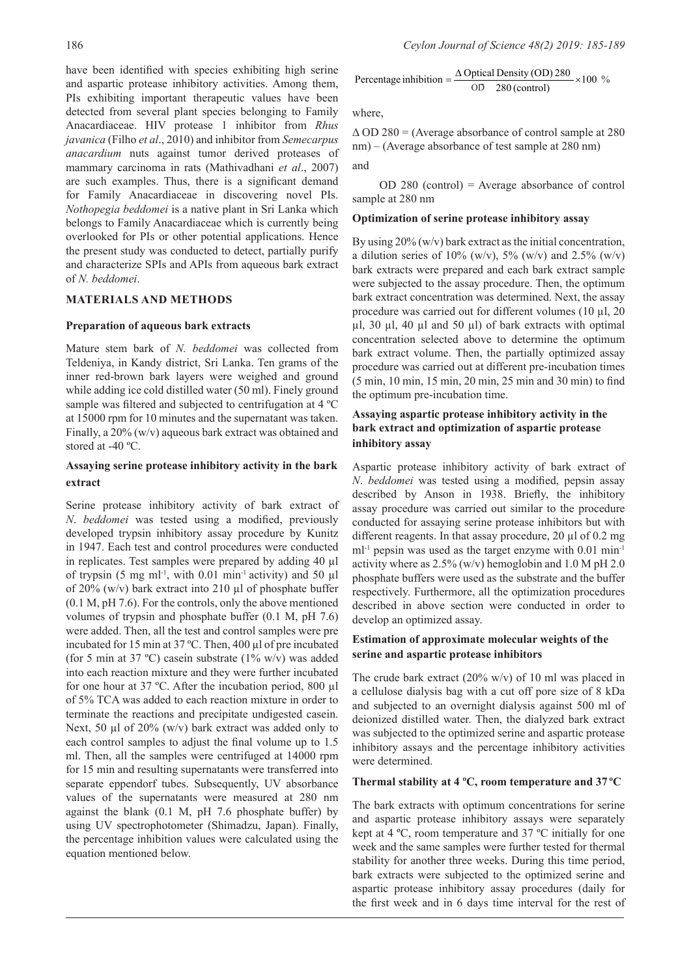have been identified with species exhibiting high serine and aspartic protease inhibitory activities. Among them, PIs exhibiting important therapeutic values have been detected from several plant species belonging to Family Anacardiaceae. HIV protease 1 inhibitor from *Rhus javanica* (Filho *et al*., 2010) and inhibitor from *Semecarpus anacardium* nuts against tumor derived proteases of mammary carcinoma in rats (Mathivadhani *et al*., 2007) are such examples. Thus, there is a significant demand for Family Anacardiaceae in discovering novel PIs. *Nothopegia beddomei* is a native plant in Sri Lanka which belongs to Family Anacardiaceae which is currently being overlooked for PIs or other potential applications. Hence the present study was conducted to detect, partially purify and characterize SPIs and APIs from aqueous bark extract of *N. beddomei*.

# **MATERIALS AND METHODS**

## **Preparation of aqueous bark extracts**

Mature stem bark of *N. beddomei* was collected from Teldeniya, in Kandy district, Sri Lanka. Ten grams of the inner red-brown bark layers were weighed and ground while adding ice cold distilled water (50 ml). Finely ground sample was filtered and subjected to centrifugation at 4 ºC at 15000 rpm for 10 minutes and the supernatant was taken. Finally, a 20% (w/v) aqueous bark extract was obtained and stored at -40 ºC.

# **Assaying serine protease inhibitory activity in the bark extract**

Serine protease inhibitory activity of bark extract of *N*. *beddomei* was tested using a modified, previously developed trypsin inhibitory assay procedure by Kunitz in 1947. Each test and control procedures were conducted in replicates. Test samples were prepared by adding 40 µl of trypsin (5 mg ml<sup>-1</sup>, with 0.01 min<sup>-1</sup> activity) and 50  $\mu$ l of 20% (w/v) bark extract into 210 µl of phosphate buffer (0.1 M, pH 7.6). For the controls, only the above mentioned volumes of trypsin and phosphate buffer (0.1 M, pH 7.6) were added. Then, all the test and control samples were pre incubated for 15 min at 37 ºC. Then, 400 µl of pre incubated (for 5 min at 37 °C) casein substrate (1% w/v) was added into each reaction mixture and they were further incubated for one hour at 37 ºC. After the incubation period, 800 µl of 5% TCA was added to each reaction mixture in order to terminate the reactions and precipitate undigested casein. Next, 50  $\mu$ l of 20% (w/v) bark extract was added only to each control samples to adjust the final volume up to 1.5 ml. Then, all the samples were centrifuged at 14000 rpm for 15 min and resulting supernatants were transferred into separate eppendorf tubes. Subsequently, UV absorbance values of the supernatants were measured at 280 nm against the blank (0.1 M, pH 7.6 phosphate buffer) by using UV spectrophotometer (Shimadzu, Japan). Finally, the percentage inhibition values were calculated using the equation mentioned below.

Percentage inhibition = 
$$
\frac{\Delta \text{ Optical Density (OD) } 280}{\text{OD } 280 \text{ (control)}} \times 100\%
$$

where,

 $\triangle$  OD 280 = (Average absorbance of control sample at 280 nm) – (Average absorbance of test sample at 280 nm) and

 OD 280 (control) = Average absorbance of control sample at 280 nm

### **Optimization of serine protease inhibitory assay**

By using  $20\%$  (w/v) bark extract as the initial concentration, a dilution series of 10% (w/v), 5% (w/v) and 2.5% (w/v) bark extracts were prepared and each bark extract sample were subjected to the assay procedure. Then, the optimum bark extract concentration was determined. Next, the assay procedure was carried out for different volumes (10 µl, 20  $\mu$ l, 30  $\mu$ l, 40  $\mu$ l and 50  $\mu$ l) of bark extracts with optimal concentration selected above to determine the optimum bark extract volume. Then, the partially optimized assay procedure was carried out at different pre-incubation times (5 min, 10 min, 15 min, 20 min, 25 min and 30 min) to find the optimum pre-incubation time.

# **Assaying aspartic protease inhibitory activity in the bark extract and optimization of aspartic protease inhibitory assay**

Aspartic protease inhibitory activity of bark extract of *N*. *beddomei* was tested using a modified, pepsin assay described by Anson in 1938. Briefly, the inhibitory assay procedure was carried out similar to the procedure conducted for assaying serine protease inhibitors but with different reagents. In that assay procedure, 20 µl of 0.2 mg  $ml<sup>-1</sup>$  pepsin was used as the target enzyme with 0.01 min<sup>-1</sup> activity where as 2.5% (w/v) hemoglobin and 1.0 M pH 2.0 phosphate buffers were used as the substrate and the buffer respectively. Furthermore, all the optimization procedures described in above section were conducted in order to develop an optimized assay.

# **Estimation of approximate molecular weights of the serine and aspartic protease inhibitors**

The crude bark extract (20% w/v) of 10 ml was placed in a cellulose dialysis bag with a cut off pore size of 8 kDa and subjected to an overnight dialysis against 500 ml of deionized distilled water. Then, the dialyzed bark extract was subjected to the optimized serine and aspartic protease inhibitory assays and the percentage inhibitory activities were determined.

## **Thermal stability at 4 ºC, room temperature and 37 ºC**

The bark extracts with optimum concentrations for serine and aspartic protease inhibitory assays were separately kept at 4 ºC, room temperature and 37 ºC initially for one week and the same samples were further tested for thermal stability for another three weeks. During this time period, bark extracts were subjected to the optimized serine and aspartic protease inhibitory assay procedures (daily for the first week and in 6 days time interval for the rest of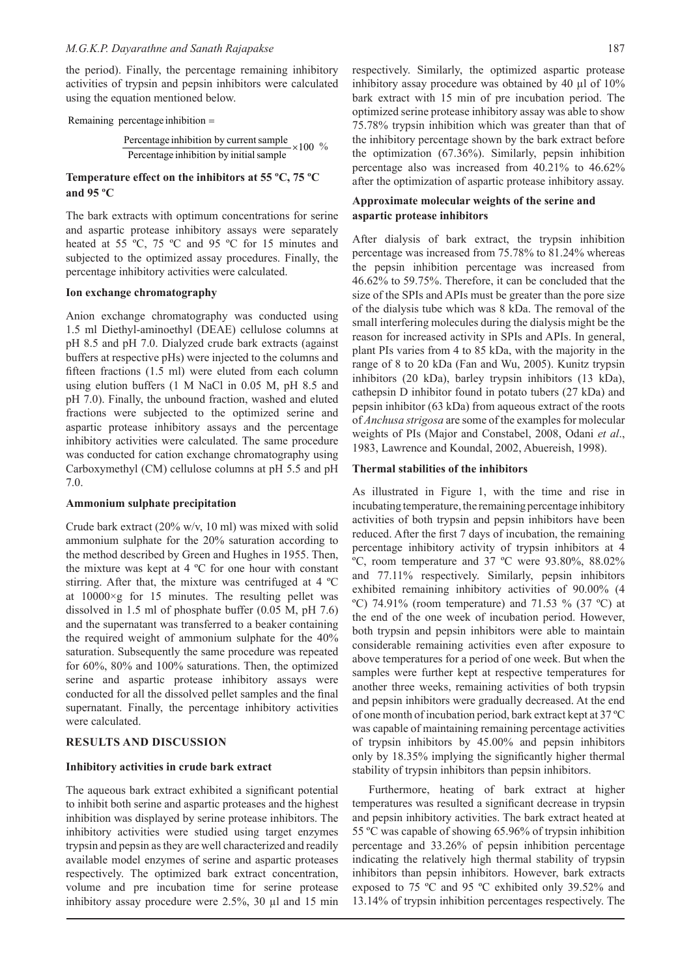the period). Finally, the percentage remaining inhibitory activities of trypsin and pepsin inhibitors were calculated using the equation mentioned below.

# Remaining percentage inhibition  $=$

 $\times 100 \%$ Percentage inhibition by initial sample Percentage inhibition by current sample

## **Temperature effect on the inhibitors at 55 ºC, 75 ºC and 95 ºC**

The bark extracts with optimum concentrations for serine and aspartic protease inhibitory assays were separately heated at 55 °C, 75 °C and 95 °C for 15 minutes and subjected to the optimized assay procedures. Finally, the percentage inhibitory activities were calculated.

### **Ion exchange chromatography**

Anion exchange chromatography was conducted using 1.5 ml Diethyl-aminoethyl (DEAE) cellulose columns at pH 8.5 and pH 7.0. Dialyzed crude bark extracts (against buffers at respective pHs) were injected to the columns and fifteen fractions (1.5 ml) were eluted from each column using elution buffers (1 M NaCl in 0.05 M, pH 8.5 and pH 7.0). Finally, the unbound fraction, washed and eluted fractions were subjected to the optimized serine and aspartic protease inhibitory assays and the percentage inhibitory activities were calculated. The same procedure was conducted for cation exchange chromatography using Carboxymethyl (CM) cellulose columns at pH 5.5 and pH 7.0.

### **Ammonium sulphate precipitation**

Crude bark extract (20% w/v, 10 ml) was mixed with solid ammonium sulphate for the 20% saturation according to the method described by Green and Hughes in 1955. Then, the mixture was kept at 4 ºC for one hour with constant stirring. After that, the mixture was centrifuged at 4 ºC at 10000×g for 15 minutes. The resulting pellet was dissolved in 1.5 ml of phosphate buffer (0.05 M, pH 7.6) and the supernatant was transferred to a beaker containing the required weight of ammonium sulphate for the 40% saturation. Subsequently the same procedure was repeated for 60%, 80% and 100% saturations. Then, the optimized serine and aspartic protease inhibitory assays were conducted for all the dissolved pellet samples and the final supernatant. Finally, the percentage inhibitory activities were calculated.

## **RESULTS AND DISCUSSION**

### **Inhibitory activities in crude bark extract**

The aqueous bark extract exhibited a significant potential to inhibit both serine and aspartic proteases and the highest inhibition was displayed by serine protease inhibitors. The inhibitory activities were studied using target enzymes trypsin and pepsin as they are well characterized and readily available model enzymes of serine and aspartic proteases respectively. The optimized bark extract concentration, volume and pre incubation time for serine protease inhibitory assay procedure were 2.5%, 30 µl and 15 min

respectively. Similarly, the optimized aspartic protease inhibitory assay procedure was obtained by 40 µl of 10% bark extract with 15 min of pre incubation period. The optimized serine protease inhibitory assay was able to show  $75.78\%$  trypsin inhibition which was greater than that of the inhibitory percentage shown by the bark extract before the optimization (67.36%). Similarly, pepsin inhibition percentage also was increased from 40.21% to 46.62% after the optimization of aspartic protease inhibitory assay.

# **Approximate molecular weights of the serine and aspartic protease inhibitors**

After dialysis of bark extract, the trypsin inhibition percentage was increased from 75.78% to 81.24% whereas the pepsin inhibition percentage was increased from 46.62% to 59.75%. Therefore, it can be concluded that the size of the SPIs and APIs must be greater than the pore size of the dialysis tube which was 8 kDa. The removal of the small interfering molecules during the dialysis might be the reason for increased activity in SPIs and APIs. In general, plant PIs varies from 4 to 85 kDa, with the majority in the range of 8 to 20 kDa (Fan and Wu, 2005). Kunitz trypsin inhibitors (20 kDa), barley trypsin inhibitors (13 kDa), cathepsin D inhibitor found in potato tubers (27 kDa) and pepsin inhibitor (63 kDa) from aqueous extract of the roots of *Anchusa strigosa* are some of the examples for molecular weights of PIs (Major and Constabel, 2008, Odani *et al*., 1983, Lawrence and Koundal, 2002, Abuereish, 1998).

#### **Thermal stabilities of the inhibitors**

As illustrated in Figure 1, with the time and rise in incubating temperature, the remaining percentage inhibitory activities of both trypsin and pepsin inhibitors have been reduced. After the first 7 days of incubation, the remaining percentage inhibitory activity of trypsin inhibitors at 4 ºC, room temperature and 37 ºC were 93.80%, 88.02% and 77.11% respectively. Similarly, pepsin inhibitors exhibited remaining inhibitory activities of 90.00% (4 °C) 74.91% (room temperature) and 71.53 % (37 °C) at the end of the one week of incubation period. However, both trypsin and pepsin inhibitors were able to maintain considerable remaining activities even after exposure to above temperatures for a period of one week. But when the samples were further kept at respective temperatures for another three weeks, remaining activities of both trypsin and pepsin inhibitors were gradually decreased. At the end of one month of incubation period, bark extract kept at 37 ºC was capable of maintaining remaining percentage activities of trypsin inhibitors by 45.00% and pepsin inhibitors only by 18.35% implying the significantly higher thermal stability of trypsin inhibitors than pepsin inhibitors.

Furthermore, heating of bark extract at higher temperatures was resulted a significant decrease in trypsin and pepsin inhibitory activities. The bark extract heated at 55 ºC was capable of showing 65.96% of trypsin inhibition percentage and 33.26% of pepsin inhibition percentage indicating the relatively high thermal stability of trypsin inhibitors than pepsin inhibitors. However, bark extracts exposed to 75 ºC and 95 ºC exhibited only 39.52% and 13.14% of trypsin inhibition percentages respectively. The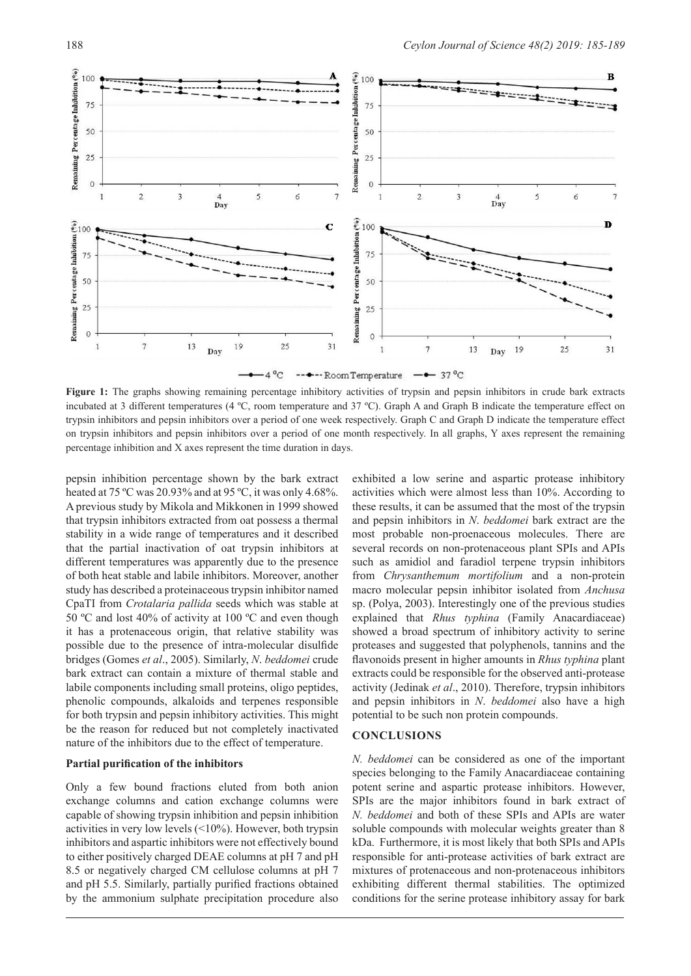



Figure 1: The graphs showing remaining percentage inhibitory activities of trypsin and pepsin inhibitors in crude bark extracts incubated at 3 different temperatures (4 ºC, room temperature and 37 ºC). Graph A and Graph B indicate the temperature effect on trypsin inhibitors and pepsin inhibitors over a period of one week respectively. Graph C and Graph D indicate the temperature effect on trypsin inhibitors and pepsin inhibitors over a period of one month respectively. In all graphs, Y axes represent the remaining percentage inhibition and X axes represent the time duration in days.

pepsin inhibition percentage shown by the bark extract heated at 75 °C was 20.93% and at 95 °C, it was only 4.68%. A previous study by Mikola and Mikkonen in 1999 showed that trypsin inhibitors extracted from oat possess a thermal stability in a wide range of temperatures and it described that the partial inactivation of oat trypsin inhibitors at different temperatures was apparently due to the presence of both heat stable and labile inhibitors. Moreover, another study has described a proteinaceous trypsin inhibitor named CpaTI from *Crotalaria pallida* seeds which was stable at 50 ºC and lost 40% of activity at 100 ºC and even though it has a protenaceous origin, that relative stability was possible due to the presence of intra-molecular disulfide bridges (Gomes *et al*., 2005). Similarly, *N*. *beddomei* crude bark extract can contain a mixture of thermal stable and labile components including small proteins, oligo peptides, phenolic compounds, alkaloids and terpenes responsible for both trypsin and pepsin inhibitory activities. This might be the reason for reduced but not completely inactivated nature of the inhibitors due to the effect of temperature.

#### **Partial purification of the inhibitors**

Only a few bound fractions eluted from both anion exchange columns and cation exchange columns were capable of showing trypsin inhibition and pepsin inhibition activities in very low levels (<10%). However, both trypsin inhibitors and aspartic inhibitors were not effectively bound to either positively charged DEAE columns at pH 7 and pH 8.5 or negatively charged CM cellulose columns at pH 7 and pH 5.5. Similarly, partially purified fractions obtained by the ammonium sulphate precipitation procedure also

exhibited a low serine and aspartic protease inhibitory activities which were almost less than 10%. According to these results, it can be assumed that the most of the trypsin and pepsin inhibitors in *N*. *beddomei* bark extract are the most probable non-proenaceous molecules. There are several records on non-protenaceous plant SPIs and APIs such as amidiol and faradiol terpene trypsin inhibitors from *Chrysanthemum mortifolium* and a non-protein macro molecular pepsin inhibitor isolated from *Anchusa*  sp. (Polya, 2003). Interestingly one of the previous studies explained that *Rhus typhina* (Family Anacardiaceae) showed a broad spectrum of inhibitory activity to serine proteases and suggested that polyphenols, tannins and the flavonoids present in higher amounts in *Rhus typhina* plant extracts could be responsible for the observed anti-protease activity (Jedinak *et al*., 2010). Therefore, trypsin inhibitors and pepsin inhibitors in *N*. *beddomei* also have a high potential to be such non protein compounds.

# **CONCLUSIONS**

*N. beddomei* can be considered as one of the important species belonging to the Family Anacardiaceae containing potent serine and aspartic protease inhibitors. However, SPIs are the major inhibitors found in bark extract of *N. beddomei* and both of these SPIs and APIs are water soluble compounds with molecular weights greater than 8 kDa. Furthermore, it is most likely that both SPIs and APIs responsible for anti-protease activities of bark extract are mixtures of protenaceous and non-protenaceous inhibitors exhibiting different thermal stabilities. The optimized conditions for the serine protease inhibitory assay for bark